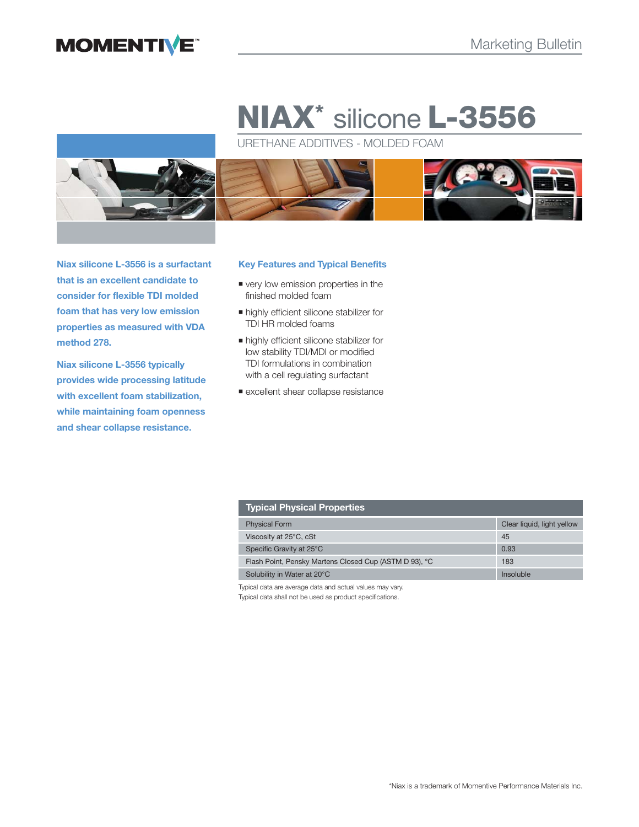## **MOMENTIVE**

# **NIAX\*** silicone **L-3556**

URETHANE ADDITIVES - MOLDED FOAM



**Niax silicone L-3556 is a surfactant that is an excellent candidate to consider for flexible TDI molded foam that has very low emission properties as measured with VDA method 278.**

**Niax silicone L-3556 typically provides wide processing latitude with excellent foam stabilization, while maintaining foam openness and shear collapse resistance.**

#### **Key Features and Typical Benefits**

- very low emission properties in the finished molded foam
- highly efficient silicone stabilizer for TDI HR molded foams
- highly efficient silicone stabilizer for low stability TDI/MDI or modified TDI formulations in combination with a cell regulating surfactant
- **Excellent shear collapse resistance**

| <b>Typical Physical Properties</b>                     |                            |
|--------------------------------------------------------|----------------------------|
| <b>Physical Form</b>                                   | Clear liquid, light yellow |
| Viscosity at 25°C, cSt                                 | 45                         |
| Specific Gravity at 25°C                               | 0.93                       |
| Flash Point, Pensky Martens Closed Cup (ASTM D 93), °C | 183                        |
| Solubility in Water at 20°C                            | Insoluble                  |

Typical data are average data and actual values may vary.

Typical data shall not be used as product specifications.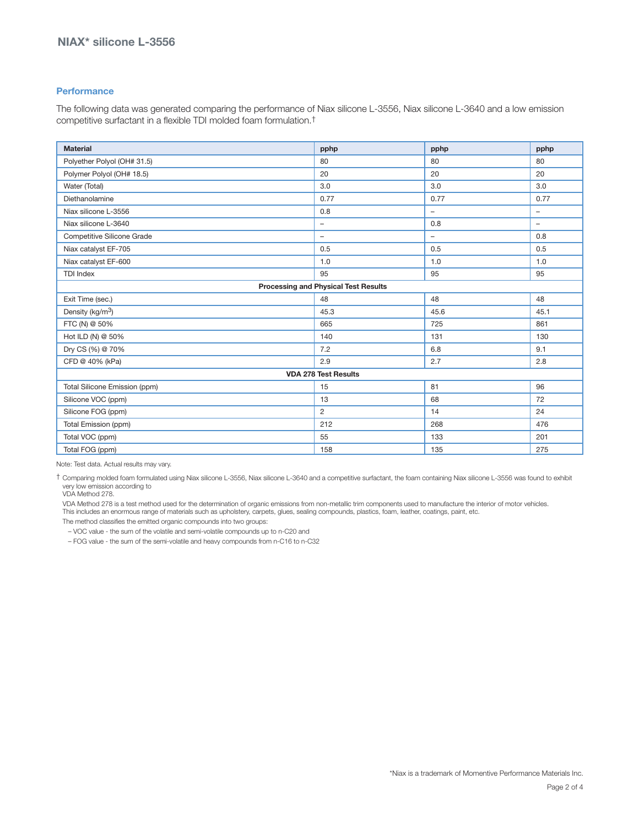#### **Performance**

The following data was generated comparing the performance of Niax silicone L-3556, Niax silicone L-3640 and a low emission competitive surfactant in a flexible TDI molded foam formulation.†

| <b>Material</b>                             | pphp                     | pphp                     | pphp                     |  |
|---------------------------------------------|--------------------------|--------------------------|--------------------------|--|
| Polyether Polyol (OH# 31.5)                 | 80                       | 80                       | 80                       |  |
| Polymer Polyol (OH# 18.5)                   | 20                       | 20                       | 20                       |  |
| Water (Total)                               | 3.0                      | 3.0                      | 3.0                      |  |
| Diethanolamine                              | 0.77                     | 0.77                     | 0.77                     |  |
| Niax silicone L-3556                        | 0.8                      | ÷                        | $\overline{\phantom{0}}$ |  |
| Niax silicone L-3640                        | $\overline{\phantom{m}}$ | 0.8                      | -                        |  |
| <b>Competitive Silicone Grade</b>           | $\overline{\phantom{a}}$ | $\overline{\phantom{0}}$ | 0.8                      |  |
| Niax catalyst EF-705                        | 0.5                      | 0.5                      | 0.5                      |  |
| Niax catalyst EF-600                        | 1.0                      | 1.0                      | 1.0                      |  |
| <b>TDI Index</b>                            | 95                       | 95                       | 95                       |  |
| <b>Processing and Physical Test Results</b> |                          |                          |                          |  |
| Exit Time (sec.)                            | 48                       | 48                       | 48                       |  |
| Density (kg/m <sup>3</sup> )                | 45.3                     | 45.6                     | 45.1                     |  |
| FTC (N) @ 50%                               | 665                      | 725                      | 861                      |  |
| Hot ILD (N) @ 50%                           | 140                      | 131                      | 130                      |  |
| Dry CS (%) @ 70%                            | 7.2                      | 6.8                      | 9.1                      |  |
| CFD @ 40% (kPa)                             | 2.9                      | 2.7                      | 2.8                      |  |
| <b>VDA 278 Test Results</b>                 |                          |                          |                          |  |
| Total Silicone Emission (ppm)               | 15                       | 81                       | 96                       |  |
| Silicone VOC (ppm)                          | 13                       | 68                       | 72                       |  |
| Silicone FOG (ppm)                          | 2                        | 14                       | 24                       |  |
| Total Emission (ppm)                        | 212                      | 268                      | 476                      |  |
| Total VOC (ppm)                             | 55                       | 133                      | 201                      |  |
| Total FOG (ppm)                             | 158                      | 135                      | 275                      |  |

Note: Test data. Actual results may vary.

† Comparing molded foam formulated using Niax silicone L-3556, Niax silicone L-3640 and a competitive surfactant, the foam containing Niax silicone L-3556 was found to exhibit very low emission according to VDA Method 278.

 VDA Method 278 is a test method used for the determination of organic emissions from non-metallic trim components used to manufacture the interior of motor vehicles. This includes an enormous range of materials such as upholstery, carpets, glues, sealing compounds, plastics, foam, leather, coatings, paint, etc.

The method classifies the emitted organic compounds into two groups:

– VOC value - the sum of the volatile and semi-volatile compounds up to n-C20 and

– FOG value - the sum of the semi-volatile and heavy compounds from n-C16 to n-C32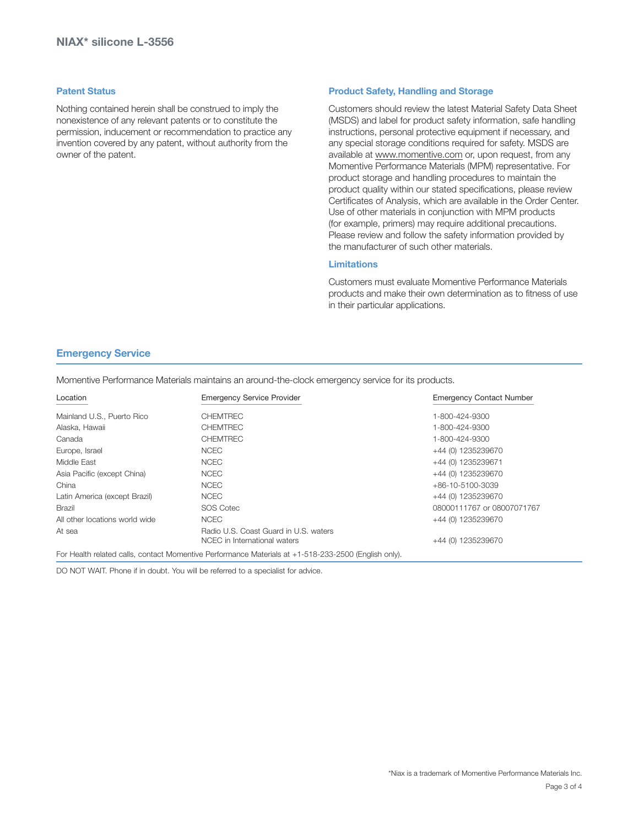#### **Patent Status**

Nothing contained herein shall be construed to imply the nonexistence of any relevant patents or to constitute the permission, inducement or recommendation to practice any invention covered by any patent, without authority from the owner of the patent.

#### **Product Safety, Handling and Storage**

Customers should review the latest Material Safety Data Sheet (MSDS) and label for product safety information, safe handling instructions, personal protective equipment if necessary, and any special storage conditions required for safety. MSDS are available at www.momentive.com or, upon request, from any Momentive Performance Materials (MPM) representative. For product storage and handling procedures to maintain the product quality within our stated specifications, please review Certificates of Analysis, which are available in the Order Center. Use of other materials in conjunction with MPM products (for example, primers) may require additional precautions. Please review and follow the safety information provided by the manufacturer of such other materials.

#### **Limitations**

Customers must evaluate Momentive Performance Materials products and make their own determination as to fitness of use in their particular applications.

#### **Emergency Service**

Momentive Performance Materials maintains an around-the-clock emergency service for its products.

| Location                       | <b>Emergency Service Provider</b>                                                                    | <b>Emergency Contact Number</b> |
|--------------------------------|------------------------------------------------------------------------------------------------------|---------------------------------|
| Mainland U.S., Puerto Rico     | <b>CHEMTREC</b>                                                                                      | 1-800-424-9300                  |
| Alaska, Hawaii                 | <b>CHEMTREC</b>                                                                                      | 1-800-424-9300                  |
| Canada                         | <b>CHEMTREC</b>                                                                                      | 1-800-424-9300                  |
| Europe, Israel                 | <b>NCEC</b>                                                                                          | +44 (0) 1235239670              |
| Middle East                    | <b>NCEC</b>                                                                                          | +44 (0) 1235239671              |
| Asia Pacific (except China)    | <b>NCEC</b>                                                                                          | +44 (0) 1235239670              |
| China                          | <b>NCEC</b>                                                                                          | +86-10-5100-3039                |
| Latin America (except Brazil)  | <b>NCEC</b>                                                                                          | +44 (0) 1235239670              |
| Brazil                         | SOS Cotec                                                                                            | 08000111767 or 08007071767      |
| All other locations world wide | <b>NCEC</b>                                                                                          | +44 (0) 1235239670              |
| At sea                         | Radio U.S. Coast Guard in U.S. waters<br>NCEC in International waters                                | +44 (0) 1235239670              |
|                                | For Health related calls, contact Momentive Performance Materials at +1-518-233-2500 (English only). |                                 |

DO NOT WAIT. Phone if in doubt. You will be referred to a specialist for advice.